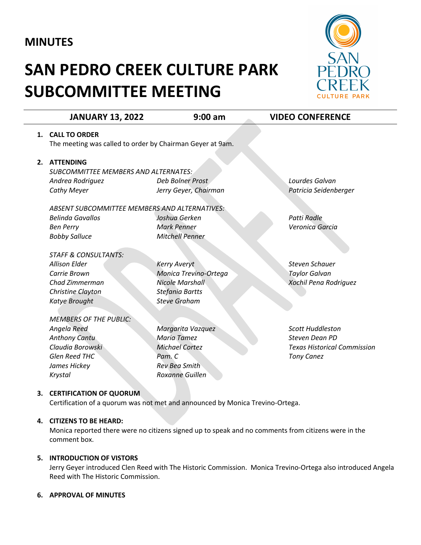# **MINUTES**

# **SAN PEDRO CREEK CULTURE PARK SUBCOMMITTEE MEETING**



|    | <b>JANUARY 13, 2022</b>                                                       | $9:00$ am              | <b>VIDEO CONFERENCE</b>            |
|----|-------------------------------------------------------------------------------|------------------------|------------------------------------|
|    | 1. CALL TO ORDER                                                              |                        |                                    |
|    | The meeting was called to order by Chairman Geyer at 9am.                     |                        |                                    |
| 2. | <b>ATTENDING</b>                                                              |                        |                                    |
|    | <b>SUBCOMMITTEE MEMBERS AND ALTERNATES:</b>                                   |                        |                                    |
|    | Andrea Rodriguez                                                              | Deb Bolner Prost       | Lourdes Galvan                     |
|    | <b>Cathy Meyer</b>                                                            | Jerry Geyer, Chairman  | Patricia Seidenberger              |
|    | ABSENT SUBCOMMITTEE MEMBERS AND ALTERNATIVES:                                 |                        |                                    |
|    | <b>Belinda Gavallos</b>                                                       | Joshua Gerken          | <b>Patti Radle</b>                 |
|    | <b>Ben Perry</b>                                                              | <b>Mark Penner</b>     | Veronica Garcia                    |
|    | <b>Bobby Salluce</b>                                                          | <b>Mitchell Penner</b> |                                    |
|    | <b>STAFF &amp; CONSULTANTS:</b>                                               |                        |                                    |
|    | <b>Allison Elder</b>                                                          | <b>Kerry Averyt</b>    | Steven Schauer                     |
|    | Carrie Brown                                                                  | Monica Trevino-Ortega  | <b>Taylor Galvan</b>               |
|    | Chad Zimmerman                                                                | <b>Nicole Marshall</b> | Xochil Pena Rodriguez              |
|    | <b>Christine Clayton</b>                                                      | <b>Stefania Bartts</b> |                                    |
|    | <b>Katye Brought</b>                                                          | <b>Steve Graham</b>    |                                    |
|    | <b>MEMBERS OF THE PUBLIC:</b>                                                 |                        |                                    |
|    | Angela Reed                                                                   | Margarita Vazquez      | <b>Scott Huddleston</b>            |
|    | <b>Anthony Cantu</b>                                                          | <b>Maria Tamez</b>     | Steven Dean PD                     |
|    | Claudia Borowski                                                              | <b>Michael Cortez</b>  | <b>Texas Historical Commission</b> |
|    | <b>Glen Reed THC</b>                                                          | Pam. C                 | <b>Tony Canez</b>                  |
|    | James Hickey                                                                  | <b>Rev Bea Smith</b>   |                                    |
|    | Krystal                                                                       | <b>Roxanne Guillen</b> |                                    |
| 3. | <b>CERTIFICATION OF QUORUM</b>                                                |                        |                                    |
|    | Certification of a quorum was not met and announced by Monica Trevino-Ortega. |                        |                                    |

## **4. CITIZENS TO BE HEARD:**

Monica reported there were no citizens signed up to speak and no comments from citizens were in the comment box.

#### **5. INTRODUCTION OF VISTORS**

Jerry Geyer introduced Clen Reed with The Historic Commission. Monica Trevino-Ortega also introduced Angela Reed with The Historic Commission.

#### **6. APPROVAL OF MINUTES**